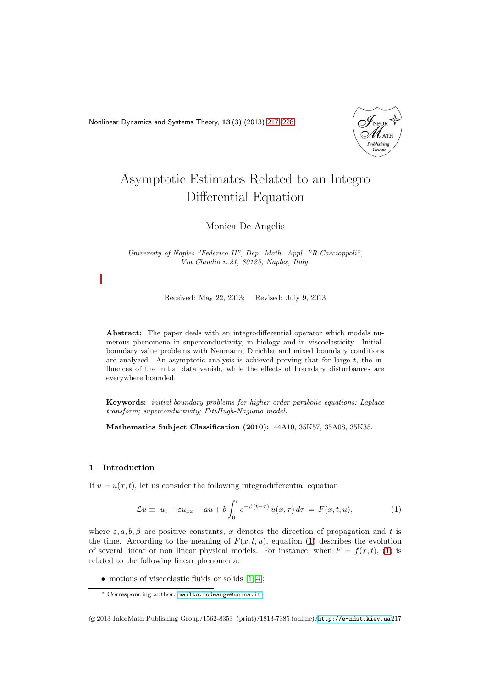<span id="page-0-0"></span>Nonlinear Dynamics and Systems Theory, 13 (3) (2013) [217–](#page-0-0)[228](#page-9-0)



# Asymptotic Estimates Related to an Integro Differential Equation

# Monica De Angelis

# University of Naples "Federico II", Dep. Math. Appl. "R.Caccioppoli", Via Claudio n.21, 80125, Naples, Italy.

Received: May 22, 2013; Revised: July 9, 2013

Abstract: The paper deals with an integrodifferential operator which models numerous phenomena in superconductivity, in biology and in viscoelasticity. Initialboundary value problems with Neumann, Dirichlet and mixed boundary conditions are analyzed. An asymptotic analysis is achieved proving that for large  $t$ , the influences of the initial data vanish, while the effects of boundary disturbances are everywhere bounded.

Keywords: initial-boundary problems for higher order parabolic equations; Laplace transform; superconductivity; FitzHugh-Nagumo model.

Mathematics Subject Classification (2010): 44A10, 35K57, 35A08, 35K35.

## 1 Introduction

If  $u = u(x, t)$ , let us consider the following integrodifferential equation

<span id="page-0-1"></span>
$$
\mathcal{L}u \equiv u_t - \varepsilon u_{xx} + au + b \int_0^t e^{-\beta(t-\tau)} u(x,\tau) d\tau = F(x,t,u), \tag{1}
$$

where  $\varepsilon, a, b, \beta$  are positive constants, x denotes the direction of propagation and t is the time. According to the meaning of  $F(x, t, u)$ , equation [\(1\)](#page-0-1) describes the evolution of several linear or non linear physical models. For instance, when  $F = f(x, t)$ , [\(1\)](#page-0-1) is related to the following linear phenomena:

• motions of viscoelastic fluids or solids  $[1-4]$  $[1-4]$ ;

<sup>∗</sup> Corresponding author: [mailto:modeange@unina.it](mailto: modeange@unina.it)

c 2013 InforMath Publishing Group/1562-8353 (print)/1813-7385 (online)/<http://e-ndst.kiev.ua>217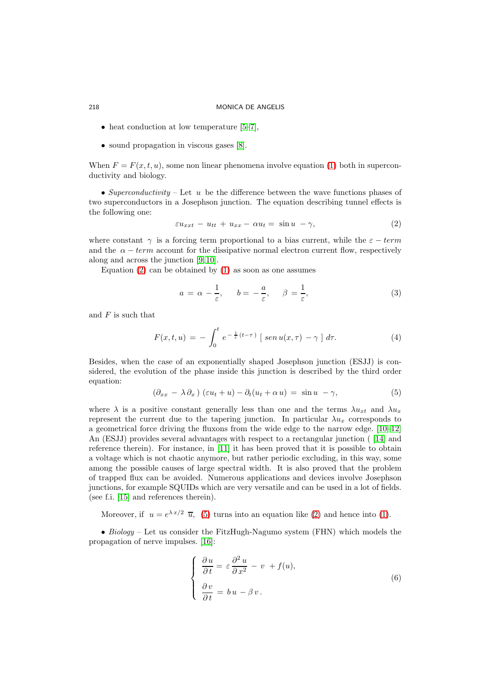- heat conduction at low temperature  $[5-7]$ ,
- sound propagation in viscous gases [\[8\]](#page-9-5).

When  $F = F(x, t, u)$ , some non linear phenomena involve equation [\(1\)](#page-0-1) both in superconductivity and biology.

• *Superconductivity* – Let  $u$  be the difference between the wave functions phases of two superconductors in a Josephson junction. The equation describing tunnel effects is the following one:

<span id="page-1-0"></span>
$$
\varepsilon u_{xxt} - u_{tt} + u_{xx} - \alpha u_t = \sin u - \gamma,\tag{2}
$$

where constant  $\gamma$  is a forcing term proportional to a bias current, while the  $\varepsilon - term$ and the  $\alpha - term$  account for the dissipative normal electron current flow, respectively along and across the junction [\[9,](#page-10-0) [10\]](#page-10-1).

Equation  $(2)$  can be obtained by  $(1)$  as soon as one assumes

$$
a = \alpha - \frac{1}{\varepsilon}, \qquad b = -\frac{a}{\varepsilon}, \qquad \beta = \frac{1}{\varepsilon}, \tag{3}
$$

and  $F$  is such that

$$
F(x,t,u) = -\int_0^t e^{-\frac{1}{\varepsilon}(t-\tau)} \left[ \operatorname{sen} u(x,\tau) - \gamma \right] d\tau. \tag{4}
$$

Besides, when the case of an exponentially shaped Josephson junction (ESJJ) is considered, the evolution of the phase inside this junction is described by the third order equation:

<span id="page-1-1"></span>
$$
(\partial_{xx} - \lambda \partial_x) (\varepsilon u_t + u) - \partial_t (u_t + \alpha u) = \sin u - \gamma,
$$
 (5)

where  $\lambda$  is a positive constant generally less than one and the terms  $\lambda u_{xt}$  and  $\lambda u_x$ represent the current due to the tapering junction. In particular  $\lambda u_x$  corresponds to a geometrical force driving the fluxons from the wide edge to the narrow edge. [\[10–](#page-10-1)[12\]](#page-10-2) An (ESJJ) provides several advantages with respect to a rectangular junction ( [\[14\]](#page-10-3) and reference therein). For instance, in [\[11\]](#page-10-4) it has been proved that it is possible to obtain a voltage which is not chaotic anymore, but rather periodic excluding, in this way, some among the possible causes of large spectral width. It is also proved that the problem of trapped flux can be avoided. Numerous applications and devices involve Josephson junctions, for example SQUIDs which are very versatile and can be used in a lot of fields. (see f.i. [\[15\]](#page-10-5) and references therein).

Moreover, if  $u = e^{\lambda x/2} \overline{u}$ , [\(5\)](#page-1-1) turns into an equation like [\(2\)](#page-1-0) and hence into [\(1\)](#page-0-1).

• *Biology* – Let us consider the FitzHugh-Nagumo system (FHN) which models the propagation of nerve impulses. [\[16\]](#page-10-6):

<span id="page-1-2"></span>
$$
\begin{cases}\n\frac{\partial u}{\partial t} = \varepsilon \frac{\partial^2 u}{\partial x^2} - v + f(u), \\
\frac{\partial v}{\partial t} = bu - \beta v.\n\end{cases}
$$
\n(6)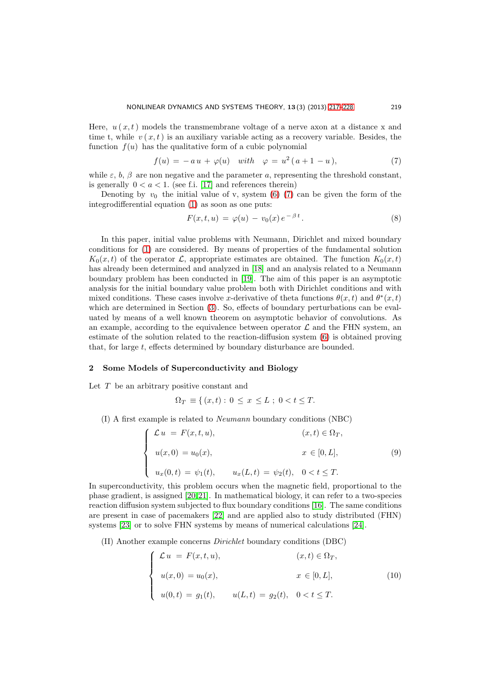Here,  $u(x, t)$  models the transmembrane voltage of a nerve axon at a distance x and time t, while  $v(x, t)$  is an auxiliary variable acting as a recovery variable. Besides, the function  $f(u)$  has the qualitative form of a cubic polynomial

<span id="page-2-0"></span>
$$
f(u) = -a u + \varphi(u) \quad with \quad \varphi = u^2 (a + 1 - u), \tag{7}
$$

while  $\varepsilon$ , b,  $\beta$  are non negative and the parameter a, representing the threshold constant, is generally  $0 < a < 1$ . (see f.i. [\[17\]](#page-10-7) and references therein)

Denoting by  $v_0$  the initial value of v, system [\(6\)](#page-1-2) [\(7\)](#page-2-0) can be given the form of the integrodifferential equation [\(1\)](#page-0-1) as soon as one puts:

<span id="page-2-3"></span>
$$
F(x,t,u) = \varphi(u) - v_0(x) e^{-\beta t}.
$$
\n(8)

In this paper, initial value problems with Neumann, Dirichlet and mixed boundary conditions for [\(1\)](#page-0-1) are considered. By means of properties of the fundamental solution  $K_0(x,t)$  of the operator  $\mathcal{L}$ , appropriate estimates are obtained. The function  $K_0(x,t)$ has already been determined and analyzed in [\[18\]](#page-10-8) and an analysis related to a Neumann boundary problem has been conducted in [\[19\]](#page-10-9). The aim of this paper is an asymptotic analysis for the initial boundary value problem both with Dirichlet conditions and with mixed conditions. These cases involve x-derivative of theta functions  $\theta(x,t)$  and  $\theta^*(x,t)$ which are determined in Section [\(3\)](#page-4-0). So, effects of boundary perturbations can be evaluated by means of a well known theorem on asymptotic behavior of convolutions. As an example, according to the equivalence between operator  $\mathcal L$  and the FHN system, and estimate of the solution related to the reaction-diffusion system [\(6\)](#page-1-2) is obtained proving that, for large  $t$ , effects determined by boundary disturbance are bounded.

## 2 Some Models of Superconductivity and Biology

Let T be an arbitrary positive constant and

$$
\Omega_T \equiv \{ (x, t) : 0 \le x \le L \; ; \; 0 < t \le T.
$$

(I) A first example is related to *Neumann* boundary conditions (NBC)

<span id="page-2-2"></span>
$$
\begin{cases}\n\mathcal{L}u = F(x, t, u), & (x, t) \in \Omega_T, \\
u(x, 0) = u_0(x), & x \in [0, L], \\
u_x(0, t) = \psi_1(t), & u_x(L, t) = \psi_2(t), & 0 < t \le T.\n\end{cases}
$$
\n(9)

In superconductivity, this problem occurs when the magnetic field, proportional to the phase gradient, is assigned [\[20,](#page-10-10)[21\]](#page-10-11). In mathematical biology, it can refer to a two-species reaction diffusion system subjected to flux boundary conditions [\[16\]](#page-10-6). The same conditions are present in case of pacemakers [\[22\]](#page-10-12) and are applied also to study distributed (FHN) systems [\[23\]](#page-10-13) or to solve FHN systems by means of numerical calculations [\[24\]](#page-10-14).

(II) Another example concerns *Dirichlet* boundary conditions (DBC)

<span id="page-2-1"></span>
$$
\begin{cases}\n\mathcal{L}u = F(x, t, u), & (x, t) \in \Omega_T, \\
u(x, 0) = u_0(x), & x \in [0, L], \\
u(0, t) = g_1(t), & u(L, t) = g_2(t), & 0 < t \le T.\n\end{cases}
$$
\n(10)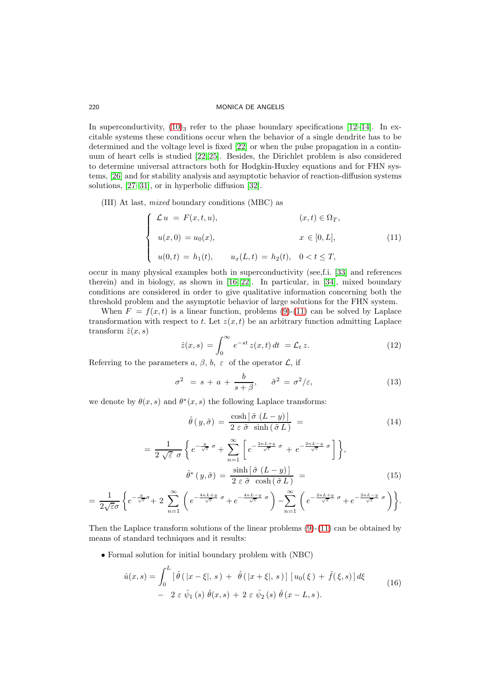In superconductivity,  $(10)_3$  refer to the phase boundary specifications [\[12](#page-10-2)[–14\]](#page-10-3). In excitable systems these conditions occur when the behavior of a single dendrite has to be determined and the voltage level is fixed [\[22\]](#page-10-12) or when the pulse propagation in a continuum of heart cells is studied [\[22,](#page-10-12) [25\]](#page-10-15). Besides, the Dirichlet problem is also considered to determine universal attractors both for Hodgkin-Huxley equations and for FHN systems, [\[26\]](#page-10-16) and for stability analysis and asymptotic behavior of reaction-diffusion systems solutions, [\[27–](#page-10-17)[31\]](#page-11-0), or in hyperbolic diffusion [\[32\]](#page-11-1).

(III) At last, *mixed* boundary conditions (MBC) as

<span id="page-3-0"></span>
$$
\begin{cases}\n\mathcal{L}u = F(x, t, u), & (x, t) \in \Omega_T, \\
u(x, 0) = u_0(x), & x \in [0, L], \\
u(0, t) = h_1(t), & u_x(L, t) = h_2(t), & 0 < t \le T,\n\end{cases}
$$
\n(11)

occur in many physical examples both in superconductivity (see,f.i. [\[33\]](#page-11-2) and references therein) and in biology, as shown in [\[16,](#page-10-6) [22\]](#page-10-12). In particular, in [\[34\]](#page-11-3), mixed boundary conditions are considered in order to give qualitative information concerning both the threshold problem and the asymptotic behavior of large solutions for the FHN system.

When  $F = f(x, t)$  is a linear function, problems [\(9\)](#page-2-2)-[\(11\)](#page-3-0) can be solved by Laplace transformation with respect to t. Let  $z(x, t)$  be an arbitrary function admitting Laplace transform  $\hat{z}(x, s)$ 

$$
\hat{z}(x,s) = \int_0^\infty e^{-st} z(x,t) dt = \mathcal{L}_t z.
$$
\n(12)

Referring to the parameters a,  $\beta$ ,  $b$ ,  $\varepsilon$  of the operator  $\mathcal{L}$ , if

<span id="page-3-1"></span>
$$
\sigma^2 = s + a + \frac{b}{s + \beta}, \quad \tilde{\sigma}^2 = \sigma^2/\varepsilon, \tag{13}
$$

we denote by  $\theta(x, s)$  and  $\theta^*(x, s)$  the following Laplace transforms:

<span id="page-3-2"></span>
$$
\hat{\theta}(y,\tilde{\sigma}) = \frac{\cosh[\tilde{\sigma}(L-y)]}{2 \varepsilon \tilde{\sigma} \sinh(\tilde{\sigma}L)} = (14)
$$

<span id="page-3-3"></span>
$$
= \frac{1}{2\sqrt{\varepsilon}} \frac{1}{\sigma} \left\{ e^{-\frac{y}{\sqrt{\varepsilon}}} \sigma + \sum_{n=1}^{\infty} \left[ e^{-\frac{2nL+y}{\sqrt{\varepsilon}}} \sigma + e^{-\frac{2nL-y}{\sqrt{\varepsilon}}} \sigma \right] \right\},\
$$

$$
\hat{\theta}^*(y,\tilde{\sigma}) = \frac{\sinh\left[\tilde{\sigma}\left(L-y\right)\right]}{2\,\varepsilon\,\tilde{\sigma}\,\cosh\left(\tilde{\sigma}\,L\right)} = \tag{15}
$$

$$
= \frac{1}{2\sqrt{\varepsilon}\sigma} \left\{ e^{-\frac{y}{\sqrt{\varepsilon}}\sigma} + 2 \sum_{n=1}^{\infty} \left( e^{-\frac{4nL+y}{\sqrt{\varepsilon}}\sigma} + e^{-\frac{4nL-y}{\sqrt{\varepsilon}}\sigma} \right) - \sum_{n=1}^{\infty} \left( e^{-\frac{2nL+y}{\sqrt{\varepsilon}}\sigma} + e^{-\frac{2nL-y}{\sqrt{\varepsilon}}\sigma} \right) \right\}.
$$

Then the Laplace transform solutions of the linear problems  $(9)-(11)$  $(9)-(11)$  can be obtained by means of standard techniques and it results:

• Formal solution for initial boundary problem with (NBC)

$$
\hat{u}(x,s) = \int_0^L \left[ \hat{\theta} \left( |x - \xi|, s \right) + \hat{\theta} \left( |x + \xi|, s \right) \right] \left[ u_0(\xi) + \hat{f}(\xi, s) \right] d\xi
$$
\n
$$
- 2 \varepsilon \hat{\psi}_1(s) \hat{\theta}(x, s) + 2 \varepsilon \hat{\psi}_2(s) \hat{\theta}(x - L, s). \tag{16}
$$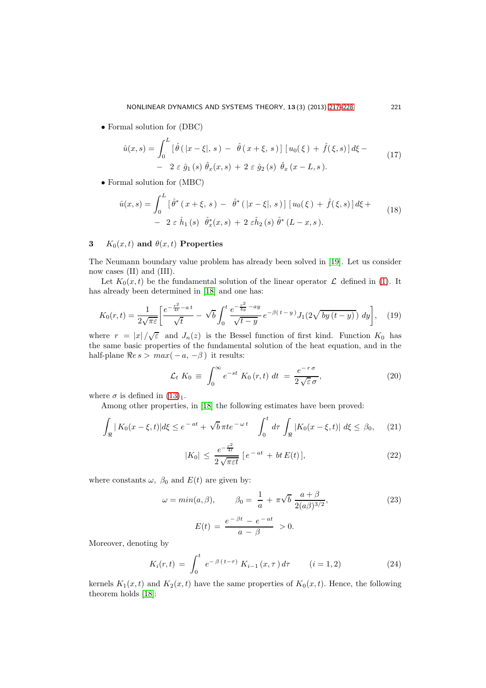<span id="page-4-1"></span>• Formal solution for (DBC)

$$
\hat{u}(x,s) = \int_0^L \left[ \hat{\theta} \left( |x - \xi|, s \right) - \hat{\theta} \left( x + \xi, s \right) \right] \left[ u_0(\xi) + \hat{f}(\xi, s) \right] d\xi -
$$
\n
$$
- 2 \varepsilon \hat{g}_1(s) \hat{\theta}_x(x,s) + 2 \varepsilon \hat{g}_2(s) \hat{\theta}_x(x-L,s). \tag{17}
$$

<span id="page-4-2"></span>• Formal solution for (MBC)

$$
\hat{u}(x,s) = \int_0^L \left[ \hat{\theta}^* \left( x + \xi, s \right) - \hat{\theta}^* \left( |x - \xi|, s \right) \right] \left[ u_0(\xi) + \hat{f}(\xi, s) \right] d\xi +
$$
\n
$$
- 2 \varepsilon \hat{h}_1(s) \hat{\theta}_x^*(x,s) + 2 \varepsilon \hat{h}_2(s) \hat{\theta}^* (L - x, s). \tag{18}
$$

# <span id="page-4-0"></span>3  $K_0(x,t)$  and  $\theta(x,t)$  Properties

The Neumann boundary value problem has already been solved in [\[19\]](#page-10-9). Let us consider now cases (II) and (III).

Let  $K_0(x, t)$  be the fundamental solution of the linear operator  $\mathcal L$  defined in [\(1\)](#page-0-1). It has already been determined in [\[18\]](#page-10-8) and one has:

<span id="page-4-4"></span>
$$
K_0(r,t) = \frac{1}{2\sqrt{\pi\varepsilon}} \left[ \frac{e^{-\frac{r^2}{4t} - at}}{\sqrt{t}} - \sqrt{b} \int_0^t \frac{e^{-\frac{r^2}{4y} - ay}}{\sqrt{t - y}} e^{-\beta(t - y)} J_1(2\sqrt{by(t - y)}) \ dy \right], \quad (19)
$$

where  $r = |x|/\sqrt{\varepsilon}$  and  $J_n(z)$  is the Bessel function of first kind. Function  $K_0$  has the same basic properties of the fundamental solution of the heat equation, and in the half-plane  $\Re e s > max(-a, -\beta)$  it results:

<span id="page-4-3"></span>
$$
\mathcal{L}_t \ K_0 \equiv \int_0^\infty e^{-st} \ K_0(r,t) \ dt = \frac{e^{-r\sigma}}{2\sqrt{\varepsilon \sigma}}, \tag{20}
$$

where  $\sigma$  is defined in  $(13)_1$ .

Among other properties, in [\[18\]](#page-10-8) the following estimates have been proved:

<span id="page-4-6"></span>
$$
\int_{\Re} |K_0(x-\xi,t)| d\xi \le e^{-at} + \sqrt{b} \pi t e^{-\omega t} \int_0^t d\tau \int_{\Re} |K_0(x-\xi,t)| d\xi \le \beta_0, \quad (21)
$$

$$
|K_0| \le \frac{e^{-\frac{r^2}{4t}}}{2\sqrt{\pi\varepsilon t}} \left[ e^{-at} + bt E(t) \right],\tag{22}
$$

where constants  $\omega$ ,  $\beta_0$  and  $E(t)$  are given by:

<span id="page-4-5"></span>
$$
\omega = \min(a, \beta), \qquad \beta_0 = \frac{1}{a} + \pi \sqrt{b} \frac{a + \beta}{2(a\beta)^{3/2}},
$$
\n(23)

$$
E(t) = \frac{e^{-\beta t} - e^{-at}}{a - \beta} > 0.
$$

Moreover, denoting by

$$
K_i(r,t) = \int_0^t e^{-\beta (t-\tau)} K_{i-1}(x,\tau) d\tau \qquad (i=1,2)
$$
 (24)

kernels  $K_1(x, t)$  and  $K_2(x, t)$  have the same properties of  $K_0(x, t)$ . Hence, the following theorem holds [\[18\]](#page-10-8):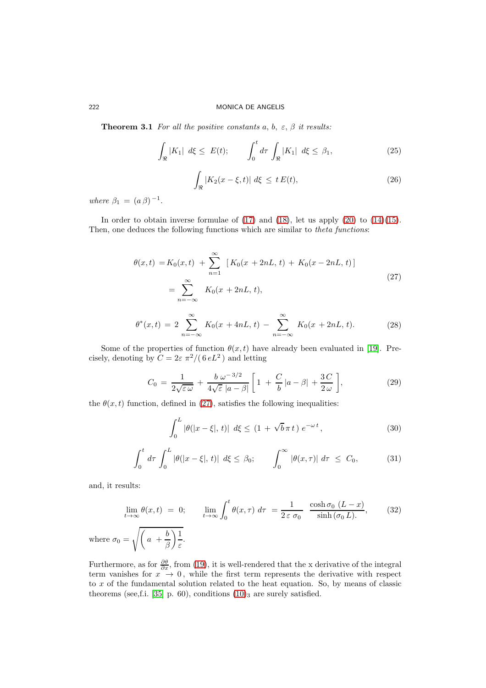**Theorem 3.1** *For all the positive constants*  $a, b, \varepsilon, \beta$  *it results:* 

<span id="page-5-1"></span>
$$
\int_{\Re} |K_1| \, d\xi \le E(t); \qquad \int_0^t d\tau \int_{\Re} |K_1| \, d\xi \le \beta_1,\tag{25}
$$

<span id="page-5-2"></span>
$$
\int_{\Re} |K_2(x - \xi, t)| d\xi \le t E(t), \tag{26}
$$

*where*  $\beta_1 = (a \beta)^{-1}$ .

In order to obtain inverse formulae of  $(17)$  and  $(18)$ , let us apply  $(20)$  to  $(14)(15)$  $(14)(15)$ . Then, one deduces the following functions which are similar to *theta functions*:

<span id="page-5-0"></span>
$$
\theta(x,t) = K_0(x,t) + \sum_{n=1}^{\infty} [K_0(x+2nL, t) + K_0(x-2nL, t)]
$$
  
= 
$$
\sum_{n=-\infty}^{\infty} K_0(x+2nL, t),
$$
 (27)

$$
\theta^*(x,t) = 2 \sum_{n=-\infty}^{\infty} K_0(x+4nL, t) - \sum_{n=-\infty}^{\infty} K_0(x+2nL, t).
$$
 (28)

Some of the properties of function  $\theta(x, t)$  have already been evaluated in [\[19\]](#page-10-9). Precisely, denoting by  $C = 2\varepsilon \pi^2/(6 eL^2)$  and letting

$$
C_0 = \frac{1}{2\sqrt{\varepsilon\,\omega}} + \frac{b\,\omega^{-3/2}}{4\sqrt{\varepsilon}\,\left|a-\beta\right|} \left[1\,+\frac{C}{b}\,\left|a-\beta\right| + \frac{3\,C}{2\,\omega}\,\right],\tag{29}
$$

the  $\theta(x, t)$  function, defined in [\(27\)](#page-5-0), satisfies the following inequalities:

$$
\int_0^L |\theta(|x-\xi|,t)| \, d\xi \le (1+\sqrt{b}\,\pi\,t) \, e^{-\omega\,t},\tag{30}
$$

$$
\int_0^t d\tau \int_0^L |\theta(|x-\xi|,t)| d\xi \le \beta_0; \qquad \int_0^\infty |\theta(x,\tau)| d\tau \le C_0, \tag{31}
$$

and, it results:

where

$$
\lim_{t \to \infty} \theta(x, t) = 0; \qquad \lim_{t \to \infty} \int_0^t \theta(x, \tau) d\tau = \frac{1}{2 \varepsilon \sigma_0} \frac{\cosh \sigma_0 (L - x)}{\sinh (\sigma_0 L)} , \qquad (32)
$$

$$
\sigma_0 = \sqrt{\left(a + \frac{b}{\beta}\right) \frac{1}{\varepsilon}} .
$$

Furthermore, as for  $\frac{\partial \theta}{\partial x}$ , from [\(19\)](#page-4-4), it is well-rendered that the x derivative of the integral term vanishes for  $x \to 0$ , while the first term represents the derivative with respect to x of the fundamental solution related to the heat equation. So, by means of classic theorems (see, f.i. [\[35\]](#page-11-4) p. 60), conditions  $(10)_3$  are surely satisfied.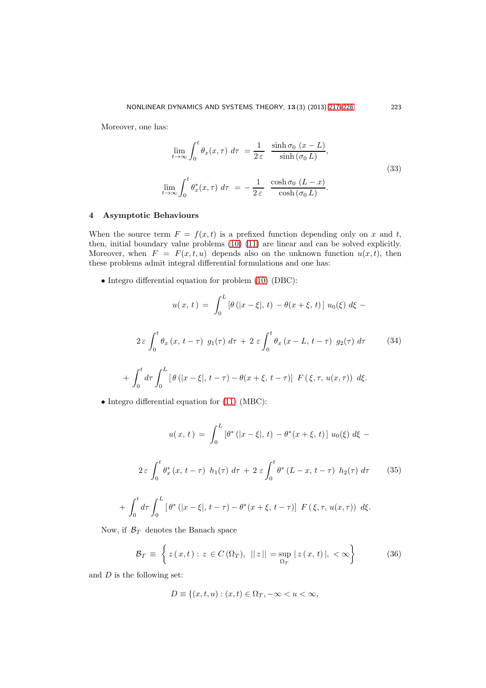<span id="page-6-2"></span>Moreover, one has:

$$
\lim_{t \to \infty} \int_0^t \theta_x(x, \tau) d\tau = \frac{1}{2\,\varepsilon} \frac{\sinh \sigma_0 (x - L)}{\sinh (\sigma_0 L)},
$$
\n
$$
\lim_{t \to \infty} \int_0^t \theta_x^*(x, \tau) d\tau = -\frac{1}{2\,\varepsilon} \frac{\cosh \sigma_0 (L - x)}{\cosh (\sigma_0 L)}.
$$
\n(33)

# 4 Asymptotic Behaviours

When the source term  $F = f(x, t)$  is a prefixed function depending only on x and t, then, initial boundary value problems [\(10\)](#page-2-1) [\(11\)](#page-3-0) are linear and can be solved explicitly. Moreover, when  $F = F(x, t, u)$  depends also on the unknown function  $u(x, t)$ , then these problems admit integral differential formulations and one has:

• Integro differential equation for problem [\(10\)](#page-2-1) (DBC):

<span id="page-6-0"></span>
$$
u(x, t) = \int_0^L [\theta(|x - \xi|, t) - \theta(x + \xi, t)] u_0(\xi) d\xi - 2\varepsilon \int_0^t \theta_x (x, t - \tau) g_1(\tau) d\tau + 2\varepsilon \int_0^t \theta_x (x - L, t - \tau) g_2(\tau) d\tau
$$
 (34)  
+ 
$$
\int_0^t d\tau \int_0^L [\theta(|x - \xi|, t - \tau) - \theta(x + \xi, t - \tau)] F(\xi, \tau, u(x, \tau)) d\xi.
$$

• Integro differential equation for [\(11\)](#page-3-0) (MBC):

$$
u(x, t) = \int_0^L [\theta^* (|x - \xi|, t) - \theta^* (x + \xi, t)] u_0(\xi) d\xi - 2\varepsilon \int_0^t \theta_x^* (x, t - \tau) h_1(\tau) d\tau + 2\varepsilon \int_0^t \theta^* (L - x, t - \tau) h_2(\tau) d\tau
$$
 (35)

<span id="page-6-1"></span>+ 
$$
\int_0^t d\tau \int_0^L [\theta^* (|x-\xi|, t-\tau) - \theta^* (x+\xi, t-\tau)] F(\xi, \tau, u(x,\tau)) d\xi
$$
.

Now, if  $\mathcal{B}_T$  denotes the Banach space

$$
\mathcal{B}_T \equiv \left\{ z(x,t) : z \in C(\Omega_T), \ ||z|| = \sup_{\Omega_T} |z(x,t)|, < \infty \right\} \tag{36}
$$

and  $D$  is the following set:

$$
D \equiv \{(x, t, u) : (x, t) \in \Omega_T, -\infty < u < \infty,
$$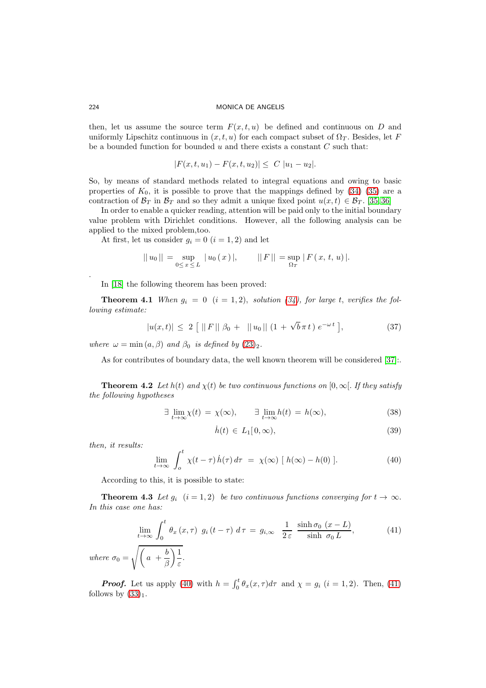then, let us assume the source term  $F(x, t, u)$  be defined and continuous on D and uniformly Lipschitz continuous in  $(x, t, u)$  for each compact subset of  $\Omega_T$ . Besides, let F be a bounded function for bounded  $u$  and there exists a constant  $C$  such that:

$$
|F(x,t,u_1)-F(x,t,u_2)|\leq C |u_1-u_2|.
$$

So, by means of standard methods related to integral equations and owing to basic properties of  $K_0$ , it is possible to prove that the mappings defined by  $(34)$   $(35)$  are a contraction of  $\mathcal{B}_T$  in  $\mathcal{B}_T$  and so they admit a unique fixed point  $u(x, t) \in \mathcal{B}_T$ . [\[35,](#page-11-4)36]

In order to enable a quicker reading, attention will be paid only to the initial boundary value problem with Dirichlet conditions. However, all the following analysis can be applied to the mixed problem,too.

At first, let us consider  $g_i = 0$   $(i = 1, 2)$  and let

$$
||u_0|| = \sup_{0 \le x \le L} |u_0(x)|,
$$
  $||F|| = \sup_{\Omega_T} |F(x, t, u)|.$ 

In [\[18\]](#page-10-8) the following theorem has been proved:

**Theorem 4.1** When  $g_i = 0$   $(i = 1, 2)$ , solution  $(34)$ , for large t, verifies the fol*lowing estimate:*

$$
|u(x,t)| \leq 2 [||F|| \beta_0 + ||u_0|| (1 + \sqrt{b} \pi t) e^{-\omega t}], \qquad (37)
$$

*where*  $\omega = \min(a, \beta)$  *and*  $\beta_0$  *is defined by*  $(23)_2$  $(23)_2$ *.* 

As for contributes of boundary data, the well known theorem will be considered [\[37\]](#page-11-6):.

**Theorem 4.2** Let  $h(t)$  and  $\chi(t)$  be two continuous functions on  $[0, \infty]$ . If they satisfy *the following hypotheses*

$$
\exists \lim_{t \to \infty} \chi(t) = \chi(\infty), \qquad \exists \lim_{t \to \infty} h(t) = h(\infty), \tag{38}
$$

$$
\dot{h}(t) \in L_1[0,\infty),\tag{39}
$$

*then, it results:*

 $where$ 

<span id="page-7-0"></span>
$$
\lim_{t \to \infty} \int_{o}^{t} \chi(t - \tau) \dot{h}(\tau) d\tau = \chi(\infty) [h(\infty) - h(0)]. \tag{40}
$$

According to this, it is possible to state:

**Theorem 4.3** *Let*  $g_i$   $(i = 1, 2)$  *be two continuous functions converging for*  $t \to \infty$ . *In this case one has:*

<span id="page-7-1"></span>
$$
\lim_{t \to \infty} \int_0^t \theta_x(x, \tau) g_i(t - \tau) d\tau = g_{i, \infty} \frac{1}{2\varepsilon} \frac{\sinh \sigma_0 (x - L)}{\sinh \sigma_0 L},
$$
\n(41)\n
$$
\sigma_0 = \sqrt{\left(a + \frac{b}{\beta}\right) \frac{1}{\varepsilon}}.
$$

**Proof.** Let us apply [\(40\)](#page-7-0) with  $h = \int_0^t \theta_x(x, \tau) d\tau$  and  $\chi = g_i$  (i = 1, 2). Then, [\(41\)](#page-7-1) follows by  $(33)_1$ .

.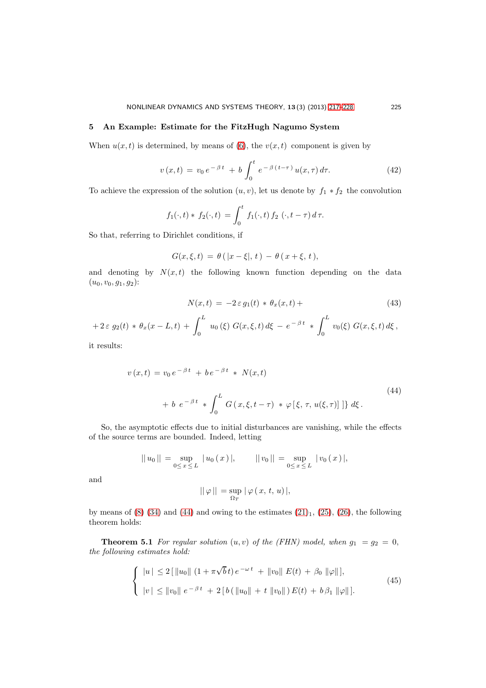## 5 An Example: Estimate for the FitzHugh Nagumo System

When  $u(x, t)$  is determined, by means of [\(6\)](#page-1-2), the  $v(x, t)$  component is given by

$$
v(x,t) = v_0 e^{-\beta t} + b \int_0^t e^{-\beta (t-\tau)} u(x,\tau) d\tau.
$$
 (42)

To achieve the expression of the solution  $(u, v)$ , let us denote by  $f_1 * f_2$  the convolution

$$
f_1(\cdot,t) * f_2(\cdot,t) = \int_0^t f_1(\cdot,t) f_2(\cdot,t-\tau) d\tau.
$$

So that, referring to Dirichlet conditions, if

$$
G(x,\xi,t) = \theta(|x-\xi|,t) - \theta(x+\xi,t),
$$

and denoting by  $N(x, t)$  the following known function depending on the data  $(u_0, v_0, g_1, g_2)$ :

$$
N(x,t) = -2 \varepsilon g_1(t) * \theta_x(x,t) + \tag{43}
$$

$$
+ 2 \varepsilon g_2(t) * \theta_x(x - L, t) + \int_0^L u_0(\xi) G(x, \xi, t) d\xi - e^{-\beta t} * \int_0^L v_0(\xi) G(x, \xi, t) d\xi,
$$

it results:

$$
v(x,t) = v_0 e^{-\beta t} + b e^{-\beta t} * N(x,t)
$$
  
+  $b e^{-\beta t} * \int_0^L G(x,\xi,t-\tau) * \varphi[\xi,\tau,u(\xi,\tau)] \, d\xi.$  (44)

<span id="page-8-0"></span>So, the asymptotic effects due to initial disturbances are vanishing, while the effects of the source terms are bounded. Indeed, letting

$$
|| u_0 || = \sup_{0 \le x \le L} | u_0 (x) |, \qquad || v_0 || = \sup_{0 \le x \le L} | v_0 (x) |,
$$

and

$$
||\,\varphi\,||\,=\sup_{\Omega_T}\,|\,\varphi\,(\,x,\,t,\,u)\,|,
$$

by means of  $(8)(34)$  and  $(44)$  and owing to the estimates  $(21)_1$ ,  $(25)$ ,  $(26)$ , the following theorem holds:

**Theorem 5.1** *For regular solution*  $(u, v)$  *of the (FHN) model, when*  $g_1 = g_2 = 0$ , *the following estimates hold:*

$$
\begin{cases} |u| \le 2 [\|u_0\| (1 + \pi \sqrt{b} t) e^{-\omega t} + \|v_0\| E(t) + \beta_0 \|\varphi\|], \\ |v| \le \|v_0\| e^{-\beta t} + 2 [b (\|u_0\| + t \|v_0\|) E(t) + b\beta_1 \|\varphi\|]. \end{cases}
$$
(45)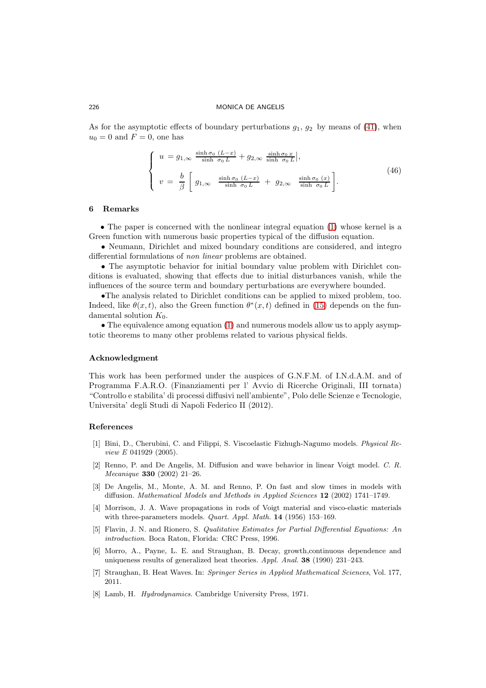As for the asymptotic effects of boundary perturbations  $g_1, g_2$  by means of [\(41\)](#page-7-1), when  $u_0 = 0$  and  $F = 0$ , one has

$$
\begin{cases}\n u = g_{1,\infty} \frac{\sinh \sigma_0 (L-x)}{\sinh \sigma_0 L} + g_{2,\infty} \frac{\sinh \sigma_0 x}{\sinh \sigma_0 L}, \\
 v = \frac{b}{\beta} \left[ g_{1,\infty} \frac{\sinh \sigma_0 (L-x)}{\sinh \sigma_0 L} + g_{2,\infty} \frac{\sinh \sigma_0 (x)}{\sinh \sigma_0 L} \right].\n\end{cases} (46)
$$

## 6 Remarks

• The paper is concerned with the nonlinear integral equation [\(1\)](#page-0-1) whose kernel is a Green function with numerous basic properties typical of the diffusion equation.

• Neumann, Dirichlet and mixed boundary conditions are considered, and integro differential formulations of *non linear* problems are obtained.

• The asymptotic behavior for initial boundary value problem with Dirichlet conditions is evaluated, showing that effects due to initial disturbances vanish, while the influences of the source term and boundary perturbations are everywhere bounded.

•The analysis related to Dirichlet conditions can be applied to mixed problem, too. Indeed, like  $\theta(x,t)$ , also the Green function  $\theta^*(x,t)$  defined in [\(15\)](#page-3-3) depends on the fundamental solution  $K_0$ .

• The equivalence among equation [\(1\)](#page-0-1) and numerous models allow us to apply asymptotic theorems to many other problems related to various physical fields.

## Acknowledgment

This work has been performed under the auspices of G.N.F.M. of I.N.d.A.M. and of Programma F.A.R.O. (Finanziamenti per l' Avvio di Ricerche Originali, III tornata) "Controllo e stabilita' di processi diffusivi nell'ambiente", Polo delle Scienze e Tecnologie, Universita' degli Studi di Napoli Federico II (2012).

## <span id="page-9-1"></span><span id="page-9-0"></span>References

- [1] Bini, D., Cherubini, C. and Filippi, S. Viscoelastic Fizhugh-Nagumo models. Physical Review E 041929 (2005).
- [2] Renno, P. and De Angelis, M. Diffusion and wave behavior in linear Voigt model. C. R. Mecanique 330 (2002) 21–26.
- [3] De Angelis, M., Monte, A. M. and Renno, P. On fast and slow times in models with diffusion. Mathematical Models and Methods in Applied Sciences 12 (2002) 1741–1749.
- <span id="page-9-2"></span>[4] Morrison, J. A. Wave propagations in rods of Voigt material and visco-elastic materials with three-parameters models. *Quart. Appl. Math.* **14** (1956) 153-169.
- <span id="page-9-3"></span>[5] Flavin, J. N. and Rionero, S. Qualitative Estimates for Partial Differential Equations: An introduction. Boca Raton, Florida: CRC Press, 1996.
- [6] Morro, A., Payne, L. E. and Straughan, B. Decay, growth,continuous dependence and uniqueness results of generalized heat theories. Appl. Anal. 38 (1990) 231–243.
- <span id="page-9-5"></span><span id="page-9-4"></span>[7] Straughan, B. Heat Waves. In: Springer Series in Applied Mathematical Sciences, Vol. 177, 2011.
- [8] Lamb, H. Hydrodynamics. Cambridge University Press, 1971.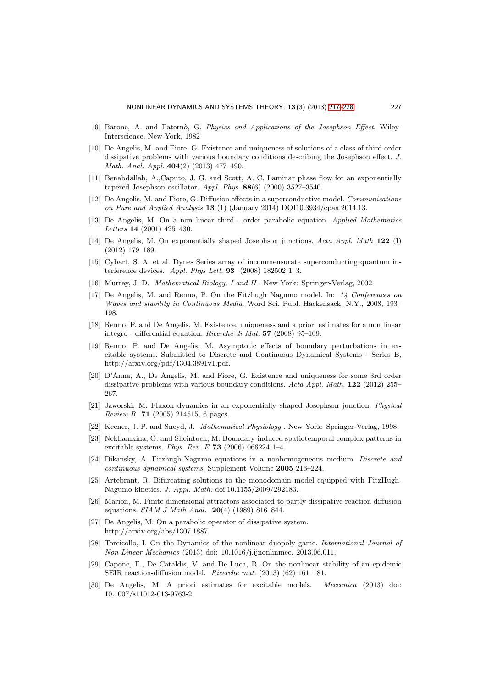- <span id="page-10-1"></span><span id="page-10-0"></span>[9] Barone, A. and Patern`o, G. Physics and Applications of the Josephson Effect. Wiley-Interscience, New-York, 1982
- [10] De Angelis, M. and Fiore, G. Existence and uniqueness of solutions of a class of third order dissipative problems with various boundary conditions describing the Josephson effect. J. Math. Anal. Appl. 404(2) (2013) 477–490.
- <span id="page-10-4"></span>[11] Benabdallah, A.,Caputo, J. G. and Scott, A. C. Laminar phase flow for an exponentially tapered Josephson oscillator. Appl. Phys.  $88(6)$  (2000) 3527-3540.
- <span id="page-10-2"></span>[12] De Angelis, M. and Fiore, G. Diffusion effects in a superconductive model. Communications on Pure and Applied Analysis 13 (1) (January 2014) DOI10.3934/cpaa.2014.13.
- [13] De Angelis, M. On a non linear third order parabolic equation. Applied Mathematics Letters 14 (2001) 425–430.
- <span id="page-10-3"></span>[14] De Angelis, M. On exponentially shaped Josephson junctions. Acta Appl. Math 122 (I) (2012) 179–189.
- <span id="page-10-5"></span>[15] Cybart, S. A. et al. Dynes Series array of incommensurate superconducting quantum interference devices. Appl. Phys Lett. **93** (2008) 182502 1-3.
- <span id="page-10-7"></span><span id="page-10-6"></span>[16] Murray, J. D. Mathematical Biology. I and II . New York: Springer-Verlag, 2002.
- [17] De Angelis, M. and Renno, P. On the Fitzhugh Nagumo model. In: 14 Conferences on Waves and stability in Continuous Media. Word Sci. Publ. Hackensack, N.Y., 2008, 193– 198.
- <span id="page-10-8"></span>[18] Renno, P. and De Angelis, M. Existence, uniqueness and a priori estimates for a non linear integro - differential equation. Ricerche di Mat. 57 (2008) 95–109.
- <span id="page-10-9"></span>[19] Renno, P. and De Angelis, M. Asymptotic effects of boundary perturbations in excitable systems. Submitted to Discrete and Continuous Dynamical Systems - Series B, http://arxiv.org/pdf/1304.3891v1.pdf.
- <span id="page-10-10"></span>[20] D'Anna, A., De Angelis, M. and Fiore, G. Existence and uniqueness for some 3rd order dissipative problems with various boundary conditions. Acta Appl. Math. 122 (2012) 255– 267.
- <span id="page-10-11"></span>[21] Jaworski, M. Fluxon dynamics in an exponentially shaped Josephson junction. Physical Review B 71 (2005) 214515, 6 pages.
- <span id="page-10-13"></span><span id="page-10-12"></span>[22] Keener, J. P. and Sneyd, J. Mathematical Physiology . New York: Springer-Verlag, 1998.
- [23] Nekhamkina, O. and Sheintuch, M. Boundary-induced spatiotemporal complex patterns in excitable systems. Phys. Rev. E 73 (2006) 066224 1–4.
- <span id="page-10-14"></span>[24] Dikansky, A. Fitzhugh-Nagumo equations in a nonhomogeneous medium. Discrete and continuous dynamical systems. Supplement Volume 2005 216–224.
- <span id="page-10-15"></span>[25] Artebrant, R. Bifurcating solutions to the monodomain model equipped with FitzHugh-Nagumo kinetics. J. Appl. Math. doi:10.1155/2009/292183.
- <span id="page-10-16"></span>[26] Marion, M. Finite dimensional attractors associated to partly dissipative reaction diffusion equations. *SIAM J Math Anal.* **20**(4) (1989) 816–844.
- <span id="page-10-17"></span>[27] De Angelis, M. On a parabolic operator of dissipative system. http://arxiv.org/abs/1307.1887.
- [28] Torcicollo, I. On the Dynamics of the nonlinear duopoly game. International Journal of Non-Linear Mechanics (2013) doi: 10.1016/j.ijnonlinmec. 2013.06.011.
- [29] Capone, F., De Cataldis, V. and De Luca, R. On the nonlinear stability of an epidemic SEIR reaction-diffusion model. Ricerche mat. (2013) (62) 161–181.
- [30] De Angelis, M. A priori estimates for excitable models. Meccanica (2013) doi: 10.1007/s11012-013-9763-2.